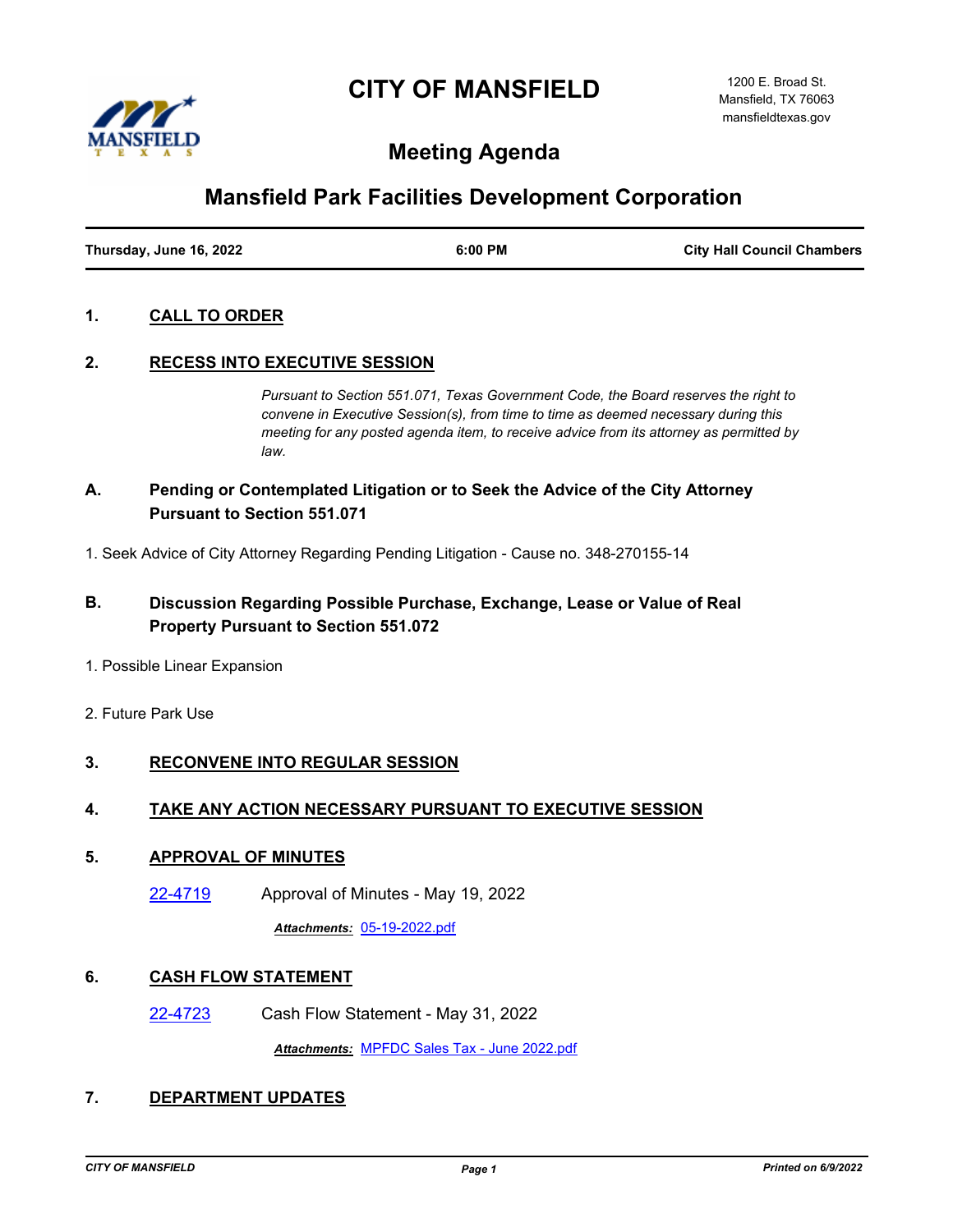# **CITY OF MANSFIELD**



# **Meeting Agenda**

# **Mansfield Park Facilities Development Corporation**

| Thursday, June 16, 2022 | 6:00 PM | <b>City Hall Council Chambers</b> |
|-------------------------|---------|-----------------------------------|

## **1. CALL TO ORDER**

## **2. RECESS INTO EXECUTIVE SESSION**

*Pursuant to Section 551.071, Texas Government Code, the Board reserves the right to convene in Executive Session(s), from time to time as deemed necessary during this meeting for any posted agenda item, to receive advice from its attorney as permitted by law.*

# **A. Pending or Contemplated Litigation or to Seek the Advice of the City Attorney Pursuant to Section 551.071**

1. Seek Advice of City Attorney Regarding Pending Litigation - Cause no. 348-270155-14

# **B. Discussion Regarding Possible Purchase, Exchange, Lease or Value of Real Property Pursuant to Section 551.072**

- 1. Possible Linear Expansion
- 2. Future Park Use

# **3. RECONVENE INTO REGULAR SESSION**

#### **4. TAKE ANY ACTION NECESSARY PURSUANT TO EXECUTIVE SESSION**

#### **5. APPROVAL OF MINUTES**

[22-4719](http://mansfield.legistar.com/gateway.aspx?m=l&id=/matter.aspx?key=8834) Approval of Minutes - May 19, 2022

*Attachments:* [05-19-2022.pdf](http://Mansfield.legistar.com/gateway.aspx?M=F&ID=dbe6de66-c1ed-4f77-aa58-2de76e5ce40d.pdf)

## **6. CASH FLOW STATEMENT**

[22-4723](http://mansfield.legistar.com/gateway.aspx?m=l&id=/matter.aspx?key=8838) Cash Flow Statement - May 31, 2022

*Attachments:* [MPFDC Sales Tax - June 2022.pdf](http://Mansfield.legistar.com/gateway.aspx?M=F&ID=e0e64814-b05d-4426-b8f6-83be597bb41c.pdf)

## **7. DEPARTMENT UPDATES**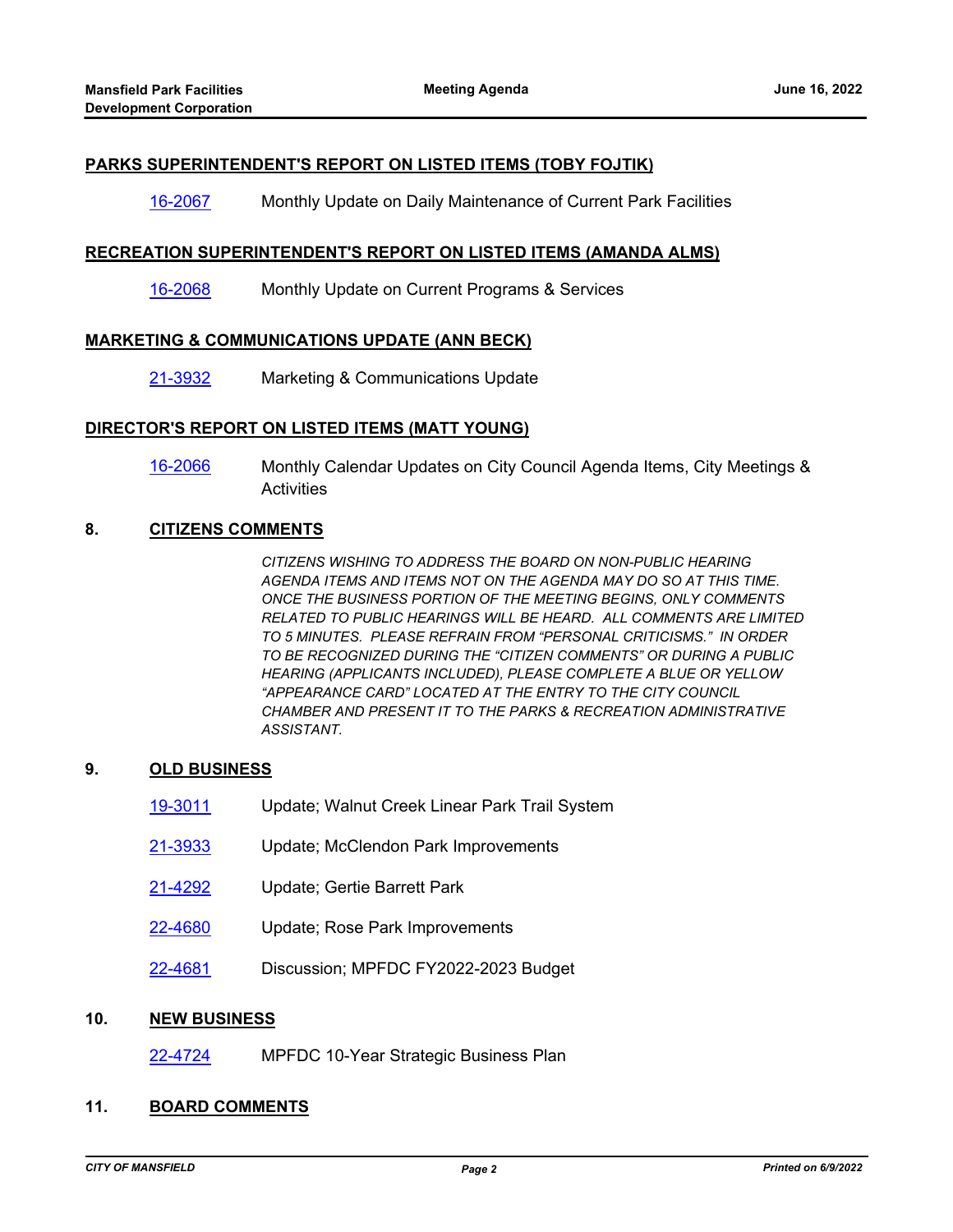#### **PARKS SUPERINTENDENT'S REPORT ON LISTED ITEMS (TOBY FOJTIK)**

#### [16-2067](http://mansfield.legistar.com/gateway.aspx?m=l&id=/matter.aspx?key=6082) Monthly Update on Daily Maintenance of Current Park Facilities

#### **RECREATION SUPERINTENDENT'S REPORT ON LISTED ITEMS (AMANDA ALMS)**

[16-2068](http://mansfield.legistar.com/gateway.aspx?m=l&id=/matter.aspx?key=6083) Monthly Update on Current Programs & Services

#### **MARKETING & COMMUNICATIONS UPDATE (ANN BECK)**

[21-3932](http://mansfield.legistar.com/gateway.aspx?m=l&id=/matter.aspx?key=8034) Marketing & Communications Update

#### **DIRECTOR'S REPORT ON LISTED ITEMS (MATT YOUNG)**

[16-2066](http://mansfield.legistar.com/gateway.aspx?m=l&id=/matter.aspx?key=6081) Monthly Calendar Updates on City Council Agenda Items, City Meetings & **Activities** 

## **8. CITIZENS COMMENTS**

*CITIZENS WISHING TO ADDRESS THE BOARD ON NON-PUBLIC HEARING AGENDA ITEMS AND ITEMS NOT ON THE AGENDA MAY DO SO AT THIS TIME. ONCE THE BUSINESS PORTION OF THE MEETING BEGINS, ONLY COMMENTS RELATED TO PUBLIC HEARINGS WILL BE HEARD. ALL COMMENTS ARE LIMITED TO 5 MINUTES. PLEASE REFRAIN FROM "PERSONAL CRITICISMS." IN ORDER TO BE RECOGNIZED DURING THE "CITIZEN COMMENTS" OR DURING A PUBLIC HEARING (APPLICANTS INCLUDED), PLEASE COMPLETE A BLUE OR YELLOW "APPEARANCE CARD" LOCATED AT THE ENTRY TO THE CITY COUNCIL CHAMBER AND PRESENT IT TO THE PARKS & RECREATION ADMINISTRATIVE ASSISTANT.*

### **9. OLD BUSINESS**

- [19-3011](http://mansfield.legistar.com/gateway.aspx?m=l&id=/matter.aspx?key=7072) Update; Walnut Creek Linear Park Trail System
- [21-3933](http://mansfield.legistar.com/gateway.aspx?m=l&id=/matter.aspx?key=8035) Update; McClendon Park Improvements
- [21-4292](http://mansfield.legistar.com/gateway.aspx?m=l&id=/matter.aspx?key=8399) Update; Gertie Barrett Park
- [22-4680](http://mansfield.legistar.com/gateway.aspx?m=l&id=/matter.aspx?key=8793) Update; Rose Park Improvements
- [22-4681](http://mansfield.legistar.com/gateway.aspx?m=l&id=/matter.aspx?key=8794) Discussion; MPFDC FY2022-2023 Budget

### **10. NEW BUSINESS**

[22-4724](http://mansfield.legistar.com/gateway.aspx?m=l&id=/matter.aspx?key=8839) MPFDC 10-Year Strategic Business Plan

# **11. BOARD COMMENTS**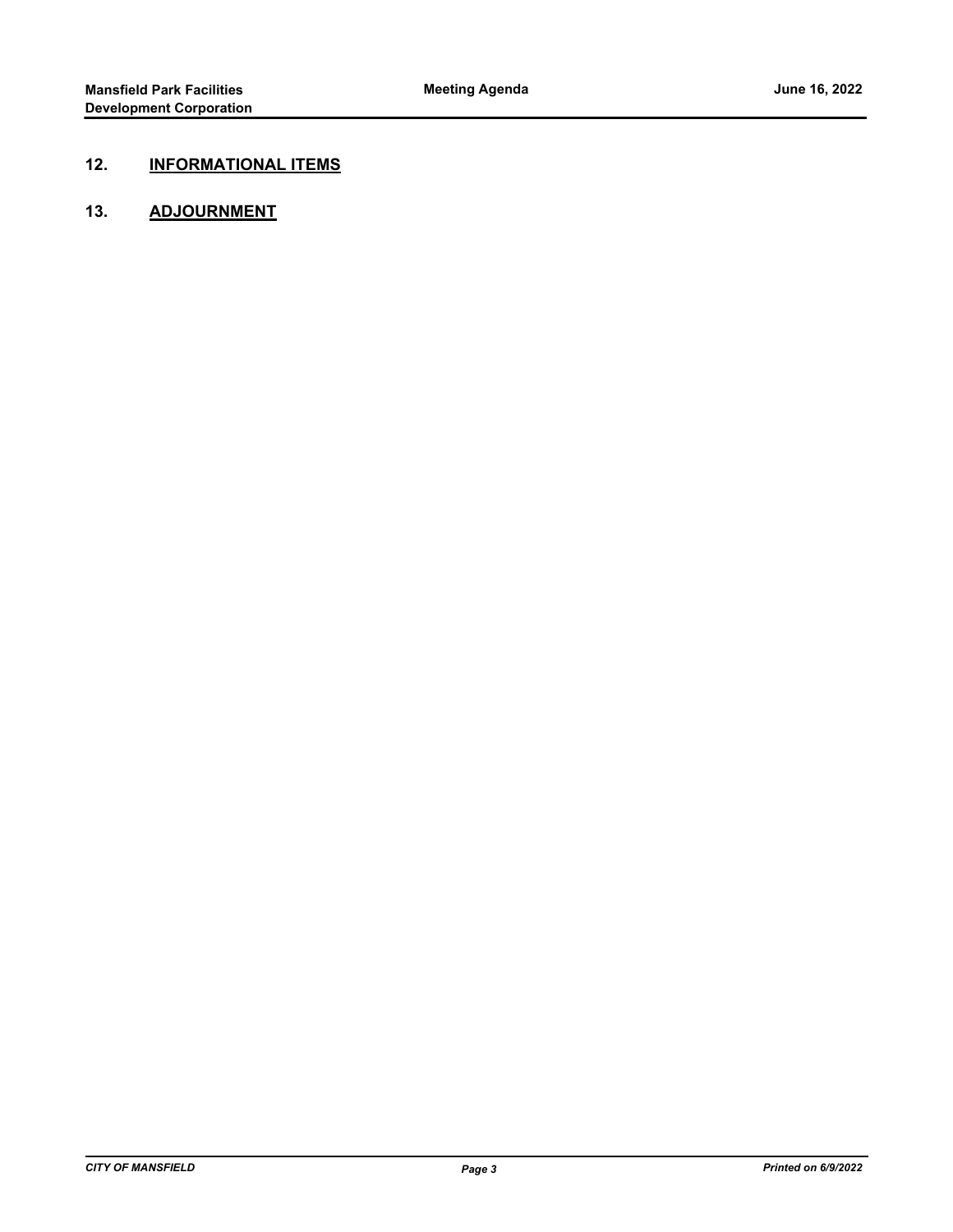# **12. INFORMATIONAL ITEMS**

## **13. ADJOURNMENT**